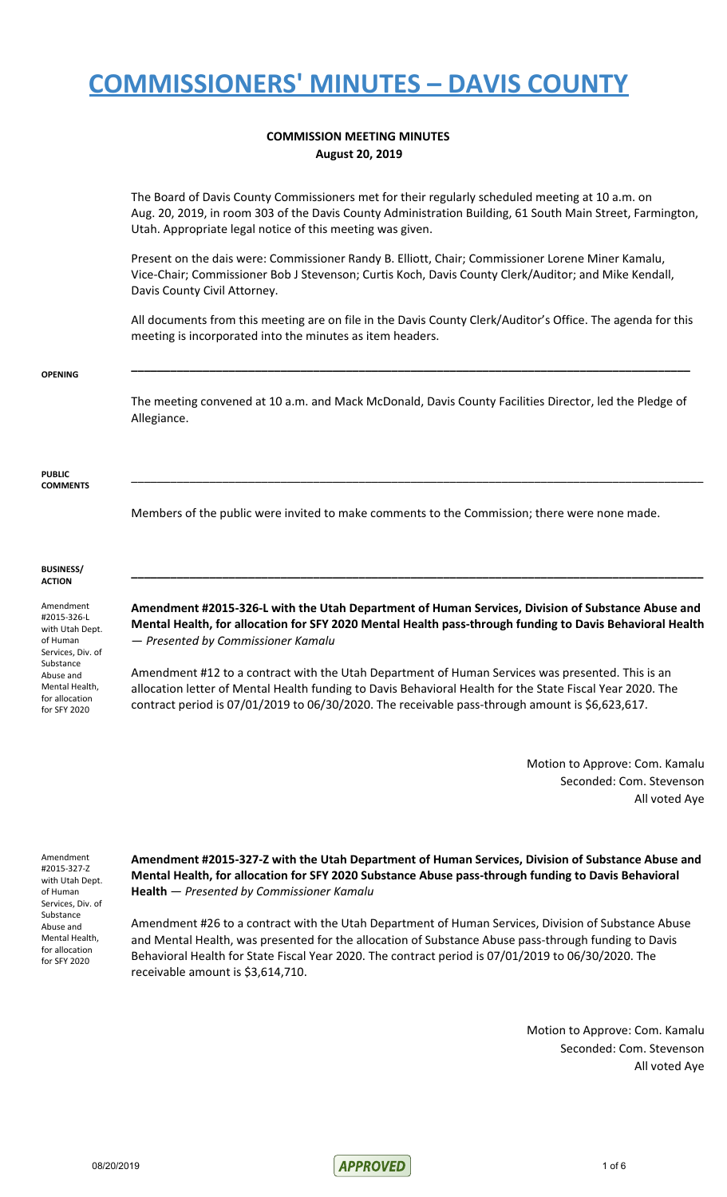#### **COMMISSION MEETING MINUTES August 20, 2019**

The Board of Davis County Commissioners met for their regularly scheduled meeting at 10 a.m. on Aug. 20, 2019, in room 303 of the Davis County Administration Building, 61 South Main Street, Farmington, Utah. Appropriate legal notice of this meeting was given.

Present on the dais were: Commissioner Randy B. Elliott, Chair; Commissioner Lorene Miner Kamalu, Vice-Chair; Commissioner Bob J Stevenson; Curtis Koch, Davis County Clerk/Auditor; and Mike Kendall, Davis County Civil Attorney.

All documents from this meeting are on file in the Davis County Clerk/Auditor's Office. The agenda for this meeting is incorporated into the minutes as item headers.

**\_\_\_\_\_\_\_\_\_\_\_\_\_\_\_\_\_\_\_\_\_\_\_\_\_\_\_\_\_\_\_\_\_\_\_\_\_\_\_\_\_\_\_\_\_\_\_\_\_\_\_\_\_\_\_\_\_\_\_\_\_\_\_\_\_\_\_\_\_\_\_\_\_\_\_\_\_\_\_\_\_\_\_\_\_\_**

#### **OPENING**

The meeting convened at 10 a.m. and Mack McDonald, Davis County Facilities Director, led the Pledge of Allegiance.

\_\_\_\_\_\_\_\_\_\_\_\_\_\_\_\_\_\_\_\_\_\_\_\_\_\_\_\_\_\_\_\_\_\_\_\_\_\_\_\_\_\_\_\_\_\_\_\_\_\_\_\_\_\_\_\_\_\_\_\_\_\_\_\_\_\_\_\_\_\_\_\_\_\_\_\_\_\_\_\_\_\_\_\_\_\_\_\_

**PUBLIC COMMENTS**

Members of the public were invited to make comments to the Commission; there were none made.

#### **BUSINESS/ ACTION**

Amendment #2015-326-L with Utah Dept. of Human Services, Div. of Substance Abuse and Mental Health, for allocation for SFY 2020

**Amendment #2015-326-L with the Utah Department of Human Services, Division of Substance Abuse and Mental Health, for allocation for SFY 2020 Mental Health pass-through funding to Davis Behavioral Health** — *Presented by Commissioner Kamalu*

**\_\_\_\_\_\_\_\_\_\_\_\_\_\_\_\_\_\_\_\_\_\_\_\_\_\_\_\_\_\_\_\_\_\_\_\_\_\_\_\_\_\_\_\_\_\_\_\_\_\_\_\_\_\_\_\_\_\_\_\_\_\_\_\_\_\_\_\_\_\_\_\_\_\_\_\_\_\_\_\_\_\_\_\_\_\_\_\_**

Amendment #12 to a contract with the Utah Department of Human Services was presented. This is an allocation letter of Mental Health funding to Davis Behavioral Health for the State Fiscal Year 2020. The contract period is 07/01/2019 to 06/30/2020. The receivable pass-through amount is \$6,623,617.

> Motion to Approve: Com. Kamalu Seconded: Com. Stevenson All voted Aye

Amendment #2015-327-Z with Utah Dept. of Human Services, Div. of Substance Abuse and Mental Health, for allocation for SFY 2020

**Amendment #2015-327-Z with the Utah Department of Human Services, Division of Substance Abuse and Mental Health, for allocation for SFY 2020 Substance Abuse pass-through funding to Davis Behavioral Health** — *Presented by Commissioner Kamalu*

Amendment #26 to a contract with the Utah Department of Human Services, Division of Substance Abuse and Mental Health, was presented for the allocation of Substance Abuse pass-through funding to Davis Behavioral Health for State Fiscal Year 2020. The contract period is 07/01/2019 to 06/30/2020. The receivable amount is \$3,614,710.

> Motion to Approve: Com. Kamalu Seconded: Com. Stevenson All voted Aye

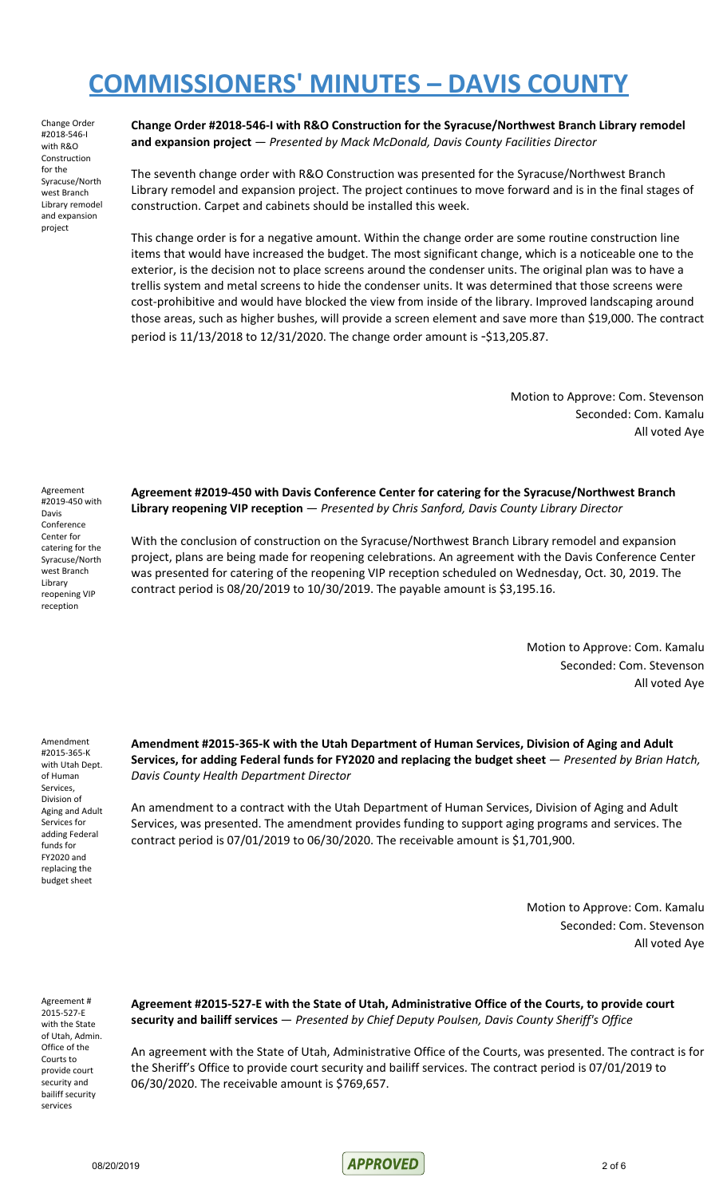Change Order #2018-546-I with R&O Construction for the Syracuse/North west Branch Library remodel and expansion project

**Change Order #2018-546-I with R&O Construction for the Syracuse/Northwest Branch Library remodel and expansion project** — *Presented by Mack McDonald, Davis County Facilities Director*

The seventh change order with R&O Construction was presented for the Syracuse/Northwest Branch Library remodel and expansion project. The project continues to move forward and is in the final stages of construction. Carpet and cabinets should be installed this week.

This change order is for a negative amount. Within the change order are some routine construction line items that would have increased the budget. The most significant change, which is a noticeable one to the exterior, is the decision not to place screens around the condenser units. The original plan was to have a trellis system and metal screens to hide the condenser units. It was determined that those screens were cost-prohibitive and would have blocked the view from inside of the library. Improved landscaping around those areas, such as higher bushes, will provide a screen element and save more than \$19,000. The contract period is 11/13/2018 to 12/31/2020. The change order amount is -\$13,205.87.

> Motion to Approve: Com. Stevenson Seconded: Com. Kamalu All voted Aye

Agreement #2019-450 with Davis Conference Center for catering for the Syracuse/North west Branch Library reopening VIP reception

**Agreement #2019-450 with Davis Conference Center for catering for the Syracuse/Northwest Branch Library reopening VIP reception** — *Presented by Chris Sanford, Davis County Library Director*

With the conclusion of construction on the Syracuse/Northwest Branch Library remodel and expansion project, plans are being made for reopening celebrations. An agreement with the Davis Conference Center was presented for catering of the reopening VIP reception scheduled on Wednesday, Oct. 30, 2019. The contract period is 08/20/2019 to 10/30/2019. The payable amount is \$3,195.16.

> Motion to Approve: Com. Kamalu Seconded: Com. Stevenson All voted Aye

Amendment #2015-365-K with Utah Dept. of Human Services, Division of Aging and Adult Services for adding Federal funds for FY2020 and replacing the budget sheet

**Amendment #2015-365-K with the Utah Department of Human Services, Division of Aging and Adult Services, for adding Federal funds for FY2020 and replacing the budget sheet** — *Presented by Brian Hatch, Davis County Health Department Director*

An amendment to a contract with the Utah Department of Human Services, Division of Aging and Adult Services, was presented. The amendment provides funding to support aging programs and services. The contract period is 07/01/2019 to 06/30/2020. The receivable amount is \$1,701,900.

> Motion to Approve: Com. Kamalu Seconded: Com. Stevenson All voted Aye

Agreement # 2015-527-E with the State of Utah, Admin. Office of the Courts to provide court security and bailiff security services

**Agreement #2015-527-E with the State of Utah, Administrative Office of the Courts, to provide court security and bailiff services** — *Presented by Chief Deputy Poulsen, Davis County Sheriff's Office*

An agreement with the State of Utah, Administrative Office of the Courts, was presented. The contract is for the Sheriff's Office to provide court security and bailiff services. The contract period is 07/01/2019 to 06/30/2020. The receivable amount is \$769,657.

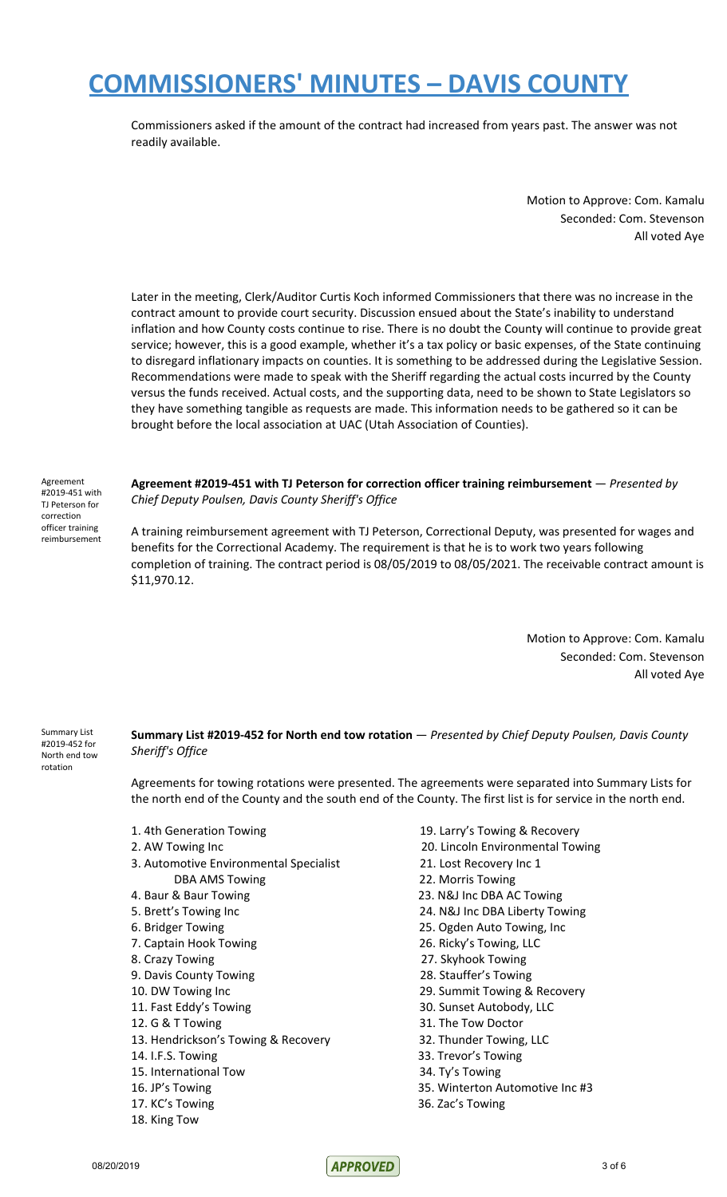Commissioners asked if the amount of the contract had increased from years past. The answer was not readily available.

> Motion to Approve: Com. Kamalu Seconded: Com. Stevenson All voted Aye

Later in the meeting, Clerk/Auditor Curtis Koch informed Commissioners that there was no increase in the contract amount to provide court security. Discussion ensued about the State's inability to understand inflation and how County costs continue to rise. There is no doubt the County will continue to provide great service; however, this is a good example, whether it's a tax policy or basic expenses, of the State continuing to disregard inflationary impacts on counties. It is something to be addressed during the Legislative Session. Recommendations were made to speak with the Sheriff regarding the actual costs incurred by the County versus the funds received. Actual costs, and the supporting data, need to be shown to State Legislators so they have something tangible as requests are made. This information needs to be gathered so it can be brought before the local association at UAC (Utah Association of Counties).

Agreement #2019-451 with TJ Peterson for correction officer training reimbursement

**Agreement #2019-451 with TJ Peterson for correction officer training reimbursement** — *Presented by Chief Deputy Poulsen, Davis County Sheriff's Office*

A training reimbursement agreement with TJ Peterson, Correctional Deputy, was presented for wages and benefits for the Correctional Academy. The requirement is that he is to work two years following completion of training. The contract period is 08/05/2019 to 08/05/2021. The receivable contract amount is \$11,970.12.

> Motion to Approve: Com. Kamalu Seconded: Com. Stevenson All voted Aye

Summary List #2019-452 for North end tow rotation

**Summary List #2019-452 for North end tow rotation** — *Presented by Chief Deputy Poulsen, Davis County Sheriff's Office*

Agreements for towing rotations were presented. The agreements were separated into Summary Lists for the north end of the County and the south end of the County. The first list is for service in the north end.

- 1. 4th Generation Towing 19. Larry's Towing & Recovery
- 
- 3. Automotive Environmental Specialist 21. Lost Recovery Inc 1 DBA AMS Towing **22. Morris Towing**
- 
- 
- 
- 
- 
- 9. Davis County Towing 28. Stauffer's Towing
- 
- 
- 13. Hendrickson's Towing & Recovery 32. Thunder Towing, LLC
- 14. I.F.S. Towing 33. Trevor's Towing
- 15. International Tow 34. Ty's Towing
- 
- 
- 18. King Tow
- 
- 2. AW Towing Inc 20. Lincoln Environmental Towing
	-
	-
- 4. Baur & Baur Towing 23. N&J Inc DBA AC Towing
- 5. Brett's Towing Inc 24. N&J Inc DBA Liberty Towing
- 6. Bridger Towing 25. Ogden Auto Towing, Inc
- 7. Captain Hook Towing 26. Ricky's Towing, LLC
- 8. Crazy Towing 27. Skyhook Towing
	-
- 10. DW Towing Inc 29. Summit Towing & Recovery
- 11. Fast Eddy's Towing The State State State State State State State State State State State State State State
- 12. G & T Towing The Tow Doctor
	-
	-
	-
- 16. JP's Towing 35. Winterton Automotive Inc #3
- 17. KC's Towing 36. Zac's Towing

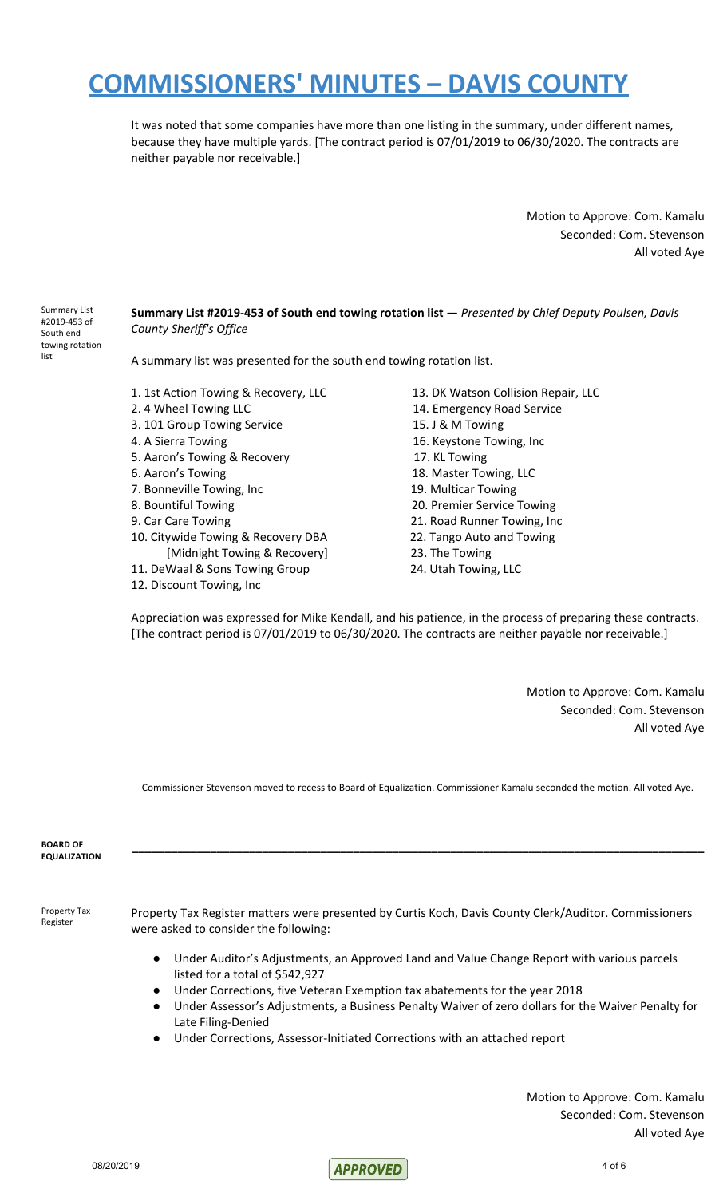It was noted that some companies have more than one listing in the summary, under different names, because they have multiple yards. [The contract period is 07/01/2019 to 06/30/2020. The contracts are neither payable nor receivable.]

> Motion to Approve: Com. Kamalu Seconded: Com. Stevenson All voted Aye

Summary List #2019-453 of South end towing rotation list

#### **Summary List #2019-453 of South end towing rotation list** — *Presented by Chief Deputy Poulsen, Davis County Sheriff's Office*

A summary list was presented for the south end towing rotation list.

- 1. 1st Action Towing & Recovery, LLC 13. DK Watson Collision Repair, LLC
- 
- 3. 101 Group Towing Service 15. J & M Towing
- 
- 5. Aaron's Towing & Recovery 17. KL Towing
- 
- 7. Bonneville Towing, Inc 19. Multicar Towing
- 
- 
- 10. Citywide Towing & Recovery DBA 22. Tango Auto and Towing [Midnight Towing & Recovery] 23. The Towing
- 11. DeWaal & Sons Towing Group 24. Utah Towing, LLC
- 12. Discount Towing, Inc
- 2. 4 Wheel Towing LLC 14. Emergency Road Service 4. A Sierra Towing 16. Keystone Towing, Inc 6. Aaron's Towing 18. Master Towing, LLC 8. Bountiful Towing 20. Premier Service Towing 9. Car Care Towing 21. Road Runner Towing, Inc

Appreciation was expressed for Mike Kendall, and his patience, in the process of preparing these contracts. [The contract period is 07/01/2019 to 06/30/2020. The contracts are neither payable nor receivable.]

> Motion to Approve: Com. Kamalu Seconded: Com. Stevenson All voted Aye

Commissioner Stevenson moved to recess to Board of Equalization. Commissioner Kamalu seconded the motion. All voted Aye.

| <b>BOARD OF</b><br><b>EQUALIZATION</b> |                                                                                                                                                                                                                                                                                                                                                                                                                                                                                                                                                                                      |
|----------------------------------------|--------------------------------------------------------------------------------------------------------------------------------------------------------------------------------------------------------------------------------------------------------------------------------------------------------------------------------------------------------------------------------------------------------------------------------------------------------------------------------------------------------------------------------------------------------------------------------------|
| Property Tax<br>Register               | Property Tax Register matters were presented by Curtis Koch, Davis County Clerk/Auditor. Commissioners<br>were asked to consider the following:<br>Under Auditor's Adjustments, an Approved Land and Value Change Report with various parcels<br>$\bullet$<br>listed for a total of \$542,927<br>Under Corrections, five Veteran Exemption tax abatements for the year 2018<br>Under Assessor's Adjustments, a Business Penalty Waiver of zero dollars for the Waiver Penalty for<br>Late Filing-Denied<br>Under Corrections, Assessor-Initiated Corrections with an attached report |

Motion to Approve: Com. Kamalu Seconded: Com. Stevenson All voted Aye

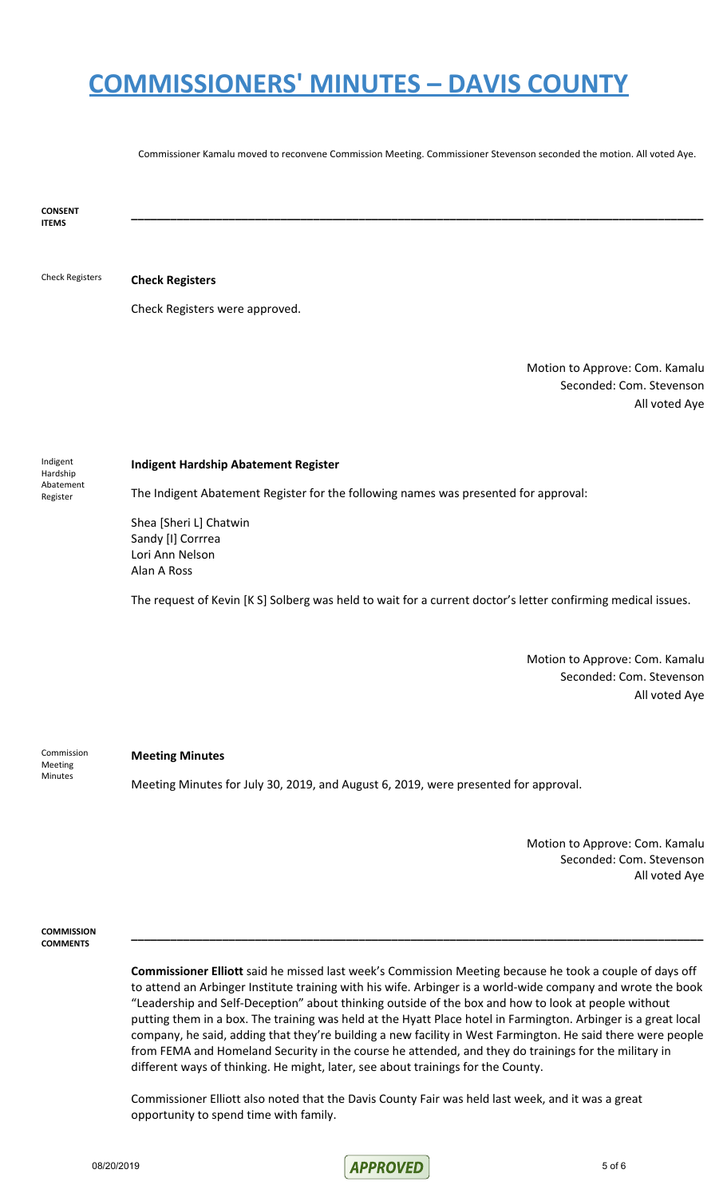Commissioner Kamalu moved to reconvene Commission Meeting. Commissioner Stevenson seconded the motion. All voted Aye.

**\_\_\_\_\_\_\_\_\_\_\_\_\_\_\_\_\_\_\_\_\_\_\_\_\_\_\_\_\_\_\_\_\_\_\_\_\_\_\_\_\_\_\_\_\_\_\_\_\_\_\_\_\_\_\_\_\_\_\_\_\_\_\_\_\_\_\_\_\_\_\_\_\_\_\_\_\_\_\_\_\_\_\_\_\_\_\_\_**

**CONSENT ITEMS**

Check Registers **Check Registers**

Check Registers were approved.

Motion to Approve: Com. Kamalu Seconded: Com. Stevenson All voted Aye

Indigent Hardship Abatement Register

#### **Indigent Hardship Abatement Register**

The Indigent Abatement Register for the following names was presented for approval:

Shea [Sheri L] Chatwin Sandy [I] Corrrea Lori Ann Nelson Alan A Ross

The request of Kevin [K S] Solberg was held to wait for a current doctor's letter confirming medical issues.

Motion to Approve: Com. Kamalu Seconded: Com. Stevenson All voted Aye

Commission Meeting Minutes

#### **Meeting Minutes**

Meeting Minutes for July 30, 2019, and August 6, 2019, were presented for approval.

Motion to Approve: Com. Kamalu Seconded: Com. Stevenson All voted Aye

**COMMISSION COMMENTS**

> **Commissioner Elliott** said he missed last week's Commission Meeting because he took a couple of days off to attend an Arbinger Institute training with his wife. Arbinger is a world-wide company and wrote the book "Leadership and Self-Deception" about thinking outside of the box and how to look at people without putting them in a box. The training was held at the Hyatt Place hotel in Farmington. Arbinger is a great local company, he said, adding that they're building a new facility in West Farmington. He said there were people from FEMA and Homeland Security in the course he attended, and they do trainings for the military in different ways of thinking. He might, later, see about trainings for the County.

> **\_\_\_\_\_\_\_\_\_\_\_\_\_\_\_\_\_\_\_\_\_\_\_\_\_\_\_\_\_\_\_\_\_\_\_\_\_\_\_\_\_\_\_\_\_\_\_\_\_\_\_\_\_\_\_\_\_\_\_\_\_\_\_\_\_\_\_\_\_\_\_\_\_\_\_\_\_\_\_\_\_\_\_\_\_\_\_\_**

Commissioner Elliott also noted that the Davis County Fair was held last week, and it was a great opportunity to spend time with family.